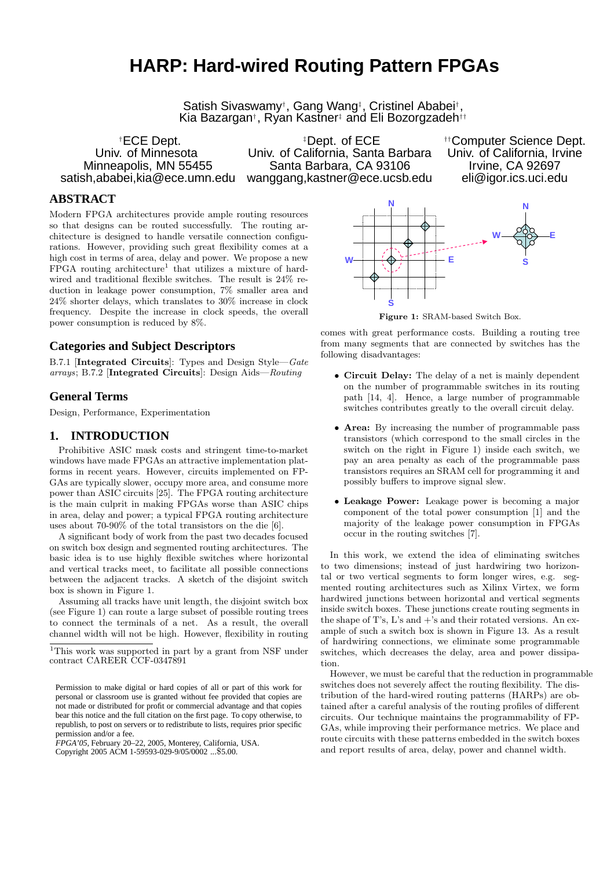# **HARP: Hard-wired Routing Pattern FPGAs**

Satish Sivaswamy<sup>†</sup>, Gang Wang<sup>‡</sup>, Cristinel Ababei<sup>†</sup>, Kia Bazargan† , Ryan Kastner‡ and Eli Bozorgzadeh††

†ECE Dept. ‡Dept. of ECE ††Computer Science Dept. Univ. of Minnesota Univ. of California, Santa Barbara Univ. of California, Irvine Minneapolis, MN 55455 Santa Barbara, CA 93106 Irvine, CA 92697<br>satish.ababei.kia@ece.umn.edu wanggang.kastner@ece.ucsb.edu eli@igor.ics.uci.edu wanggang,kastner@ece.ucsb.edu

# **ABSTRACT**

Modern FPGA architectures provide ample routing resources so that designs can be routed successfully. The routing architecture is designed to handle versatile connection configurations. However, providing such great flexibility comes at a high cost in terms of area, delay and power. We propose a new FPGA routing architecture<sup>1</sup> that utilizes a mixture of hardwired and traditional flexible switches. The result is 24% reduction in leakage power consumption, 7% smaller area and 24% shorter delays, which translates to 30% increase in clock frequency. Despite the increase in clock speeds, the overall power consumption is reduced by 8%.

## **Categories and Subject Descriptors**

B.7.1 [Integrated Circuits]: Types and Design Style—Gate arrays; B.7.2 [Integrated Circuits]: Design Aids—Routing

#### **General Terms**

Design, Performance, Experimentation

# **1. INTRODUCTION**

Prohibitive ASIC mask costs and stringent time-to-market windows have made FPGAs an attractive implementation platforms in recent years. However, circuits implemented on FP-GAs are typically slower, occupy more area, and consume more power than ASIC circuits [25]. The FPGA routing architecture is the main culprit in making FPGAs worse than ASIC chips in area, delay and power; a typical FPGA routing architecture uses about 70-90% of the total transistors on the die [6].

A significant body of work from the past two decades focused on switch box design and segmented routing architectures. The basic idea is to use highly flexible switches where horizontal and vertical tracks meet, to facilitate all possible connections between the adjacent tracks. A sketch of the disjoint switch box is shown in Figure 1.

Assuming all tracks have unit length, the disjoint switch box (see Figure 1) can route a large subset of possible routing trees to connect the terminals of a net. As a result, the overall channel width will not be high. However, flexibility in routing



Figure 1: SRAM-based Switch Box.

comes with great performance costs. Building a routing tree from many segments that are connected by switches has the following disadvantages:

- Circuit Delay: The delay of a net is mainly dependent on the number of programmable switches in its routing path [14, 4]. Hence, a large number of programmable switches contributes greatly to the overall circuit delay.
- Area: By increasing the number of programmable pass transistors (which correspond to the small circles in the switch on the right in Figure 1) inside each switch, we pay an area penalty as each of the programmable pass transistors requires an SRAM cell for programming it and possibly buffers to improve signal slew.
- Leakage Power: Leakage power is becoming a major component of the total power consumption [1] and the majority of the leakage power consumption in FPGAs occur in the routing switches [7].

In this work, we extend the idea of eliminating switches to two dimensions; instead of just hardwiring two horizontal or two vertical segments to form longer wires, e.g. segmented routing architectures such as Xilinx Virtex, we form hardwired junctions between horizontal and vertical segments inside switch boxes. These junctions create routing segments in the shape of T's, L's and  $+$ 's and their rotated versions. An example of such a switch box is shown in Figure 13. As a result of hardwiring connections, we eliminate some programmable switches, which decreases the delay, area and power dissipation.

However, we must be careful that the reduction in programmable switches does not severely affect the routing flexibility. The distribution of the hard-wired routing patterns (HARPs) are obtained after a careful analysis of the routing profiles of different circuits. Our technique maintains the programmability of FP-GAs, while improving their performance metrics. We place and route circuits with these patterns embedded in the switch boxes and report results of area, delay, power and channel width.

<sup>&</sup>lt;sup>1</sup>This work was supported in part by a grant from NSF under contract CAREER CCF-0347891

Permission to make digital or hard copies of all or part of this work for personal or classroom use is granted without fee provided that copies are not made or distributed for profit or commercial advantage and that copies bear this notice and the full citation on the first page. To copy otherwise, to republish, to post on servers or to redistribute to lists, requires prior specific permission and/or a fee.

*FPGA'05,* February 20–22, 2005, Monterey, California, USA.

Copyright 2005 ACM 1-59593-029-9/05/0002 ...\$5.00.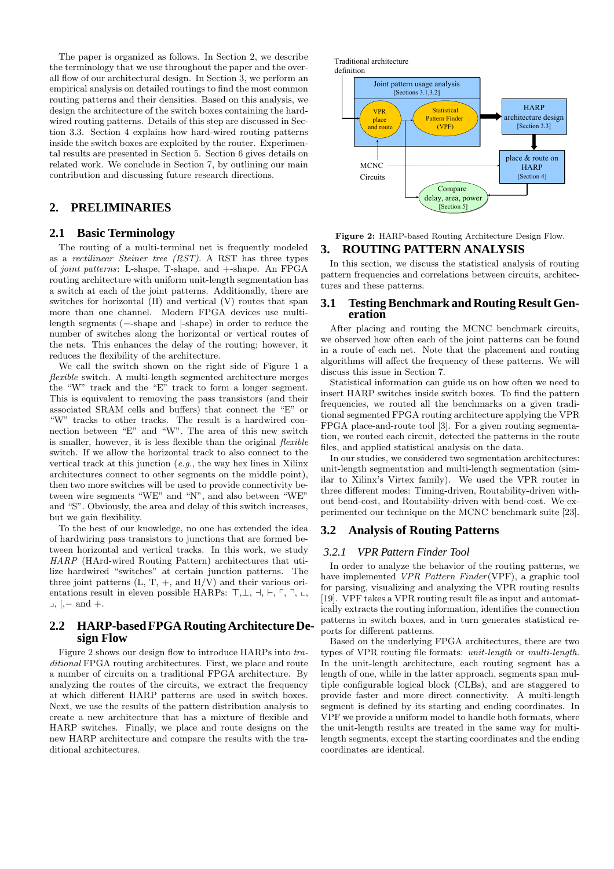The paper is organized as follows. In Section 2, we describe the terminology that we use throughout the paper and the overall flow of our architectural design. In Section 3, we perform an empirical analysis on detailed routings to find the most common routing patterns and their densities. Based on this analysis, we design the architecture of the switch boxes containing the hardwired routing patterns. Details of this step are discussed in Section 3.3. Section 4 explains how hard-wired routing patterns inside the switch boxes are exploited by the router. Experimental results are presented in Section 5. Section 6 gives details on related work. We conclude in Section 7, by outlining our main contribution and discussing future research directions.

# **2. PRELIMINARIES**

#### **2.1 Basic Terminology**

The routing of a multi-terminal net is frequently modeled as a rectilinear Steiner tree (RST). A RST has three types of joint patterns: L-shape, T-shape, and +-shape. An FPGA routing architecture with uniform unit-length segmentation has a switch at each of the joint patterns. Additionally, there are switches for horizontal (H) and vertical (V) routes that span more than one channel. Modern FPGA devices use multilength segments (−-shape and |-shape) in order to reduce the number of switches along the horizontal or vertical routes of the nets. This enhances the delay of the routing; however, it reduces the flexibility of the architecture.

We call the switch shown on the right side of Figure 1 a flexible switch. A multi-length segmented architecture merges the "W" track and the "E" track to form a longer segment. This is equivalent to removing the pass transistors (and their associated SRAM cells and buffers) that connect the "E" or "W" tracks to other tracks. The result is a hardwired connection between "E" and "W". The area of this new switch is smaller, however, it is less flexible than the original flexible switch. If we allow the horizontal track to also connect to the vertical track at this junction (e.g., the way hex lines in Xilinx architectures connect to other segments on the middle point), then two more switches will be used to provide connectivity between wire segments "WE" and "N", and also between "WE" and "S". Obviously, the area and delay of this switch increases, but we gain flexibility.

To the best of our knowledge, no one has extended the idea of hardwiring pass transistors to junctions that are formed between horizontal and vertical tracks. In this work, we study HARP (HArd-wired Routing Pattern) architectures that utilize hardwired "switches" at certain junction patterns. The three joint patterns  $(L, T, +, and H/V)$  and their various orientations result in eleven possible HARPs:  $\top, \bot, \dashv, \vdash, \ulcorner, \urcorner, \bot,$  $\lrcorner$ ,  $\lvert$ , − and +.

# **2.2 HARP-basedFPGA Routing Architecture Design Flow**

Figure 2 shows our design flow to introduce HARPs into traditional FPGA routing architectures. First, we place and route a number of circuits on a traditional FPGA architecture. By analyzing the routes of the circuits, we extract the frequency at which different HARP patterns are used in switch boxes. Next, we use the results of the pattern distribution analysis to create a new architecture that has a mixture of flexible and HARP switches. Finally, we place and route designs on the new HARP architecture and compare the results with the traditional architectures.

Traditional architecture





#### **3. ROUTING PATTERN ANALYSIS**

In this section, we discuss the statistical analysis of routing pattern frequencies and correlations between circuits, architectures and these patterns.

#### **3.1 TestingBenchmark and Routing Result Generation**

After placing and routing the MCNC benchmark circuits, we observed how often each of the joint patterns can be found in a route of each net. Note that the placement and routing algorithms will affect the frequency of these patterns. We will discuss this issue in Section 7.

Statistical information can guide us on how often we need to insert HARP switches inside switch boxes. To find the pattern frequencies, we routed all the benchmarks on a given traditional segmented FPGA routing architecture applying the VPR FPGA place-and-route tool [3]. For a given routing segmentation, we routed each circuit, detected the patterns in the route files, and applied statistical analysis on the data.

In our studies, we considered two segmentation architectures: unit-length segmentation and multi-length segmentation (similar to Xilinx's Virtex family). We used the VPR router in three different modes: Timing-driven, Routability-driven without bend-cost, and Routability-driven with bend-cost. We experimented our technique on the MCNC benchmark suite [23].

## **3.2 Analysis of Routing Patterns**

#### *3.2.1 VPR Pattern Finder Tool*

In order to analyze the behavior of the routing patterns, we have implemented *VPR Pattern Finder* (VPF), a graphic tool for parsing, visualizing and analyzing the VPR routing results [19]. VPF takes a VPR routing result file as input and automatically extracts the routing information, identifies the connection patterns in switch boxes, and in turn generates statistical reports for different patterns.

Based on the underlying FPGA architectures, there are two types of VPR routing file formats: unit-length or multi-length. In the unit-length architecture, each routing segment has a length of one, while in the latter approach, segments span multiple configurable logical block (CLBs), and are staggered to provide faster and more direct connectivity. A multi-length segment is defined by its starting and ending coordinates. In VPF we provide a uniform model to handle both formats, where the unit-length results are treated in the same way for multilength segments, except the starting coordinates and the ending coordinates are identical.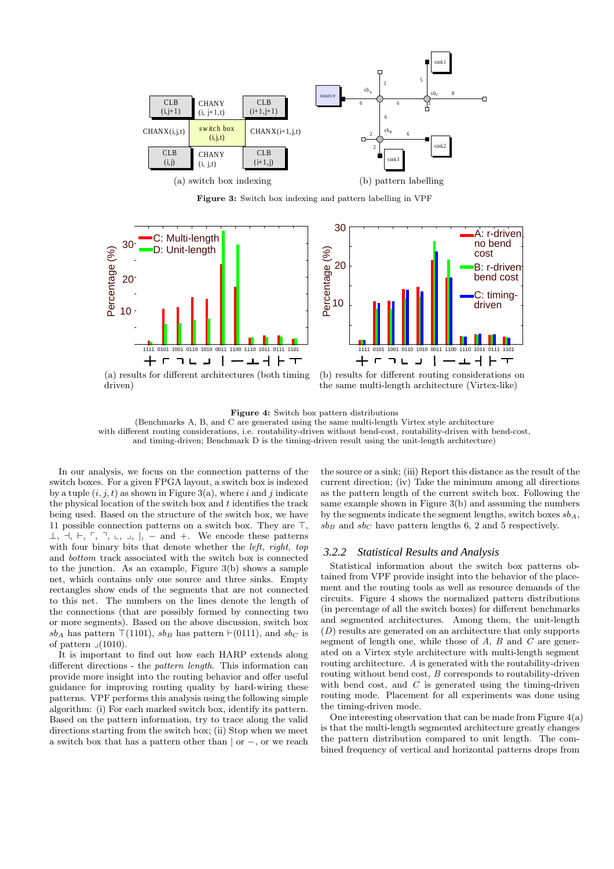

Figure 3: Switch box indexing and pattern labelling in VPF



Figure 4: Switch box pattern distributions

(Benchmarks A, B, and C are generated using the same multi-length Virtex style architecture with different routing considerations, i.e. routability-driven without bend-cost, routability-driven with bend-cost, and timing-driven; Benchmark D is the timing-driven result using the unit-length architecture)

In our analysis, we focus on the connection patterns of the switch boxes. For a given FPGA layout, a switch box is indexed by a tuple  $(i, j, t)$  as shown in Figure 3(a), where i and j indicate the physical location of the switch box and  $t$  identifies the track being used. Based on the structure of the switch box, we have 11 possible connection patterns on a switch box. They are  $\top$ ,  $\perp$ ,  $\dashv$ ,  $\vdash$ ,  $\ulcorner$ ,  $\urcorner$ ,  $\vdash$ ,  $\perp$ ,  $\perp$ ,  $\vdash$ ,  $\vdash$  and  $\dashv$ . We encode these patterns with four binary bits that denote whether the *left*, *right*, *top* and bottom track associated with the switch box is connected to the junction. As an example, Figure 3(b) shows a sample net, which contains only one source and three sinks. Empty rectangles show ends of the segments that are not connected to this net. The numbers on the lines denote the length of the connections (that are possibly formed by connecting two or more segments). Based on the above discussion, switch box  $sb_A$  has pattern  $\top$ (1101),  $sb_B$  has pattern  $\vdash$ (0111), and  $sb_C$  is of pattern  $\lrcorner$ (1010).

It is important to find out how each HARP extends along different directions - the *pattern length*. This information can provide more insight into the routing behavior and offer useful guidance for improving routing quality by hard-wiring these patterns. VPF performs this analysis using the following simple algorithm: (i) For each marked switch box, identify its pattern. Based on the pattern information, try to trace along the valid directions starting from the switch box; (ii) Stop when we meet a switch box that has a pattern other than | or −, or we reach

the source or a sink; (iii) Report this distance as the result of the current direction; (iv) Take the minimum among all directions as the pattern length of the current switch box. Following the same example shown in Figure 3(b) and assuming the numbers by the segments indicate the segment lengths, switch boxes  $sb<sub>A</sub>$ ,  $s_{\text{B}}$  and  $s_{\text{b}}$  have pattern lengths 6, 2 and 5 respectively.

#### *3.2.2 Statistical Results and Analysis*

Statistical information about the switch box patterns obtained from VPF provide insight into the behavior of the placement and the routing tools as well as resource demands of the circuits. Figure 4 shows the normalized pattern distributions (in percentage of all the switch boxes) for different benchmarks and segmented architectures. Among them, the unit-length (D) results are generated on an architecture that only supports segment of length one, while those of  $A, B$  and  $C$  are generated on a Virtex style architecture with multi-length segment routing architecture. A is generated with the routability-driven routing without bend cost,  $B$  corresponds to routability-driven with bend cost, and  $C$  is generated using the timing-driven routing mode. Placement for all experiments was done using the timing-driven mode.

One interesting observation that can be made from Figure 4(a) is that the multi-length segmented architecture greatly changes the pattern distribution compared to unit length. The combined frequency of vertical and horizontal patterns drops from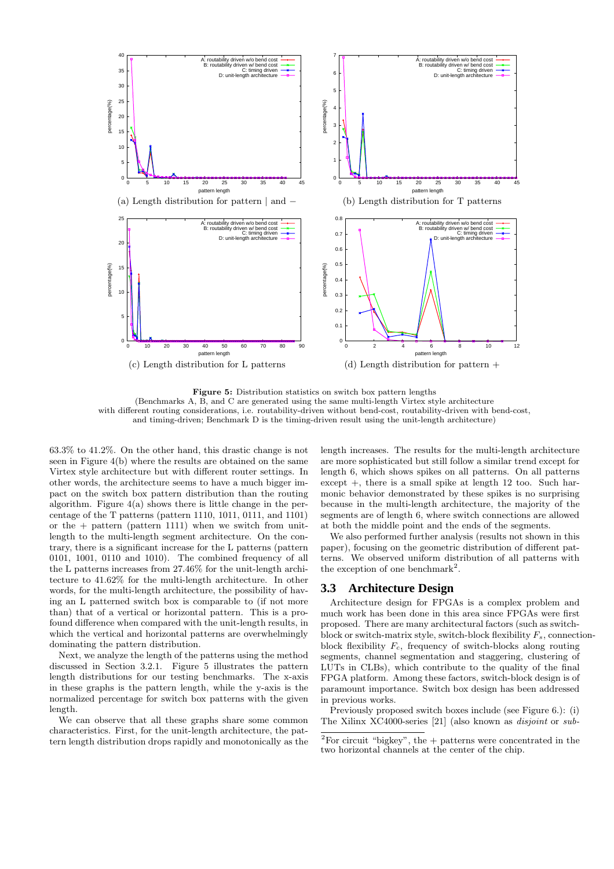

Figure 5: Distribution statistics on switch box pattern lengths (Benchmarks A, B, and C are generated using the same multi-length Virtex style architecture with different routing considerations, i.e. routability-driven without bend-cost, routability-driven with bend-cost, and timing-driven; Benchmark D is the timing-driven result using the unit-length architecture)

63.3% to 41.2%. On the other hand, this drastic change is not seen in Figure 4(b) where the results are obtained on the same Virtex style architecture but with different router settings. In other words, the architecture seems to have a much bigger impact on the switch box pattern distribution than the routing algorithm. Figure  $4(a)$  shows there is little change in the percentage of the T patterns (pattern 1110, 1011, 0111, and 1101) or the  $+$  pattern (pattern 1111) when we switch from unitlength to the multi-length segment architecture. On the contrary, there is a significant increase for the L patterns (pattern 0101, 1001, 0110 and 1010). The combined frequency of all the L patterns increases from 27.46% for the unit-length architecture to 41.62% for the multi-length architecture. In other words, for the multi-length architecture, the possibility of having an L patterned switch box is comparable to (if not more than) that of a vertical or horizontal pattern. This is a profound difference when compared with the unit-length results, in which the vertical and horizontal patterns are overwhelmingly dominating the pattern distribution.

Next, we analyze the length of the patterns using the method discussed in Section 3.2.1. Figure 5 illustrates the pattern length distributions for our testing benchmarks. The x-axis in these graphs is the pattern length, while the y-axis is the normalized percentage for switch box patterns with the given length.

We can observe that all these graphs share some common characteristics. First, for the unit-length architecture, the pattern length distribution drops rapidly and monotonically as the

length increases. The results for the multi-length architecture are more sophisticated but still follow a similar trend except for length 6, which shows spikes on all patterns. On all patterns except  $+$ , there is a small spike at length 12 too. Such harmonic behavior demonstrated by these spikes is no surprising because in the multi-length architecture, the majority of the segments are of length 6, where switch connections are allowed at both the middle point and the ends of the segments.

We also performed further analysis (results not shown in this paper), focusing on the geometric distribution of different patterns. We observed uniform distribution of all patterns with the exception of one benchmark<sup>2</sup>.

### **3.3 Architecture Design**

Architecture design for FPGAs is a complex problem and much work has been done in this area since FPGAs were first proposed. There are many architectural factors (such as switchblock or switch-matrix style, switch-block flexibility  $F_s$ , connectionblock flexibility  $F_c$ , frequency of switch-blocks along routing segments, channel segmentation and staggering, clustering of LUTs in CLBs), which contribute to the quality of the final FPGA platform. Among these factors, switch-block design is of paramount importance. Switch box design has been addressed in previous works.

Previously proposed switch boxes include (see Figure 6.): (i) The Xilinx XC4000-series [21] (also known as disjoint or sub-

<sup>&</sup>lt;sup>2</sup>For circuit "bigkey", the  $+$  patterns were concentrated in the two horizontal channels at the center of the chip.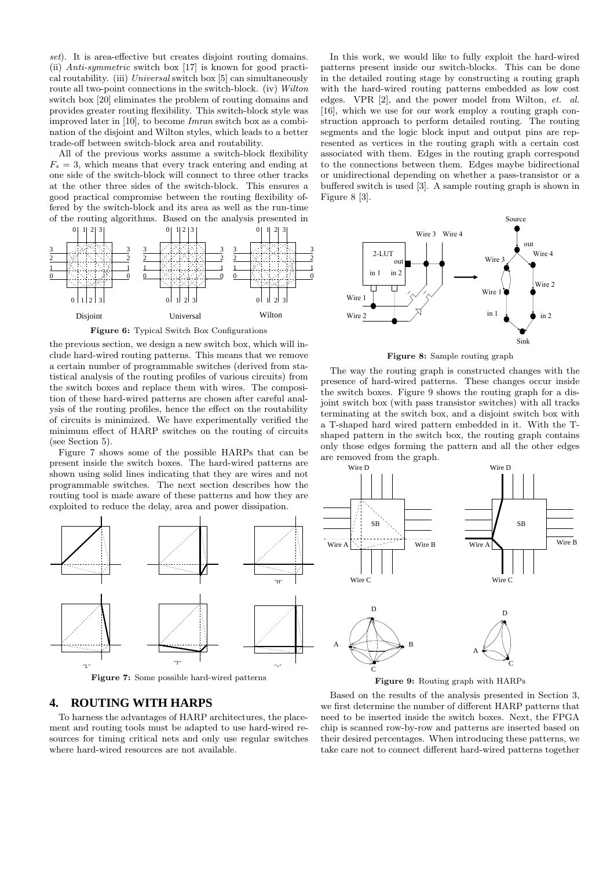set). It is area-effective but creates disjoint routing domains. (ii) Anti-symmetric switch box [17] is known for good practical routability. (iii) Universal switch box [5] can simultaneously route all two-point connections in the switch-block. (iv) Wilton switch box [20] eliminates the problem of routing domains and provides greater routing flexibility. This switch-block style was improved later in [10], to become Imran switch box as a combination of the disjoint and Wilton styles, which leads to a better trade-off between switch-block area and routability.

All of the previous works assume a switch-block flexibility  $F_s = 3$ , which means that every track entering and ending at one side of the switch-block will connect to three other tracks at the other three sides of the switch-block. This ensures a good practical compromise between the routing flexibility offered by the switch-block and its area as well as the run-time of the routing algorithms. Based on the analysis presented in



Figure 6: Typical Switch Box Configurations

the previous section, we design a new switch box, which will include hard-wired routing patterns. This means that we remove a certain number of programmable switches (derived from statistical analysis of the routing profiles of various circuits) from the switch boxes and replace them with wires. The composition of these hard-wired patterns are chosen after careful analysis of the routing profiles, hence the effect on the routability of circuits is minimized. We have experimentally verified the minimum effect of HARP switches on the routing of circuits (see Section 5).

Figure 7 shows some of the possible HARPs that can be present inside the switch boxes. The hard-wired patterns are shown using solid lines indicating that they are wires and not programmable switches. The next section describes how the routing tool is made aware of these patterns and how they are exploited to reduce the delay, area and power dissipation.



# **4. ROUTING WITH HARPS**

To harness the advantages of HARP architectures, the placement and routing tools must be adapted to use hard-wired resources for timing critical nets and only use regular switches where hard-wired resources are not available.

In this work, we would like to fully exploit the hard-wired patterns present inside our switch-blocks. This can be done in the detailed routing stage by constructing a routing graph with the hard-wired routing patterns embedded as low cost edges. VPR [2], and the power model from Wilton, et. al. [16], which we use for our work employ a routing graph construction approach to perform detailed routing. The routing segments and the logic block input and output pins are represented as vertices in the routing graph with a certain cost associated with them. Edges in the routing graph correspond to the connections between them. Edges maybe bidirectional or unidirectional depending on whether a pass-transistor or a buffered switch is used [3]. A sample routing graph is shown in Figure 8 [3].



Figure 8: Sample routing graph

The way the routing graph is constructed changes with the presence of hard-wired patterns. These changes occur inside the switch boxes. Figure 9 shows the routing graph for a disjoint switch box (with pass transistor switches) with all tracks terminating at the switch box, and a disjoint switch box with a T-shaped hard wired pattern embedded in it. With the Tshaped pattern in the switch box, the routing graph contains only those edges forming the pattern and all the other edges are removed from the graph.



Based on the results of the analysis presented in Section 3, we first determine the number of different HARP patterns that need to be inserted inside the switch boxes. Next, the FPGA chip is scanned row-by-row and patterns are inserted based on their desired percentages. When introducing these patterns, we take care not to connect different hard-wired patterns together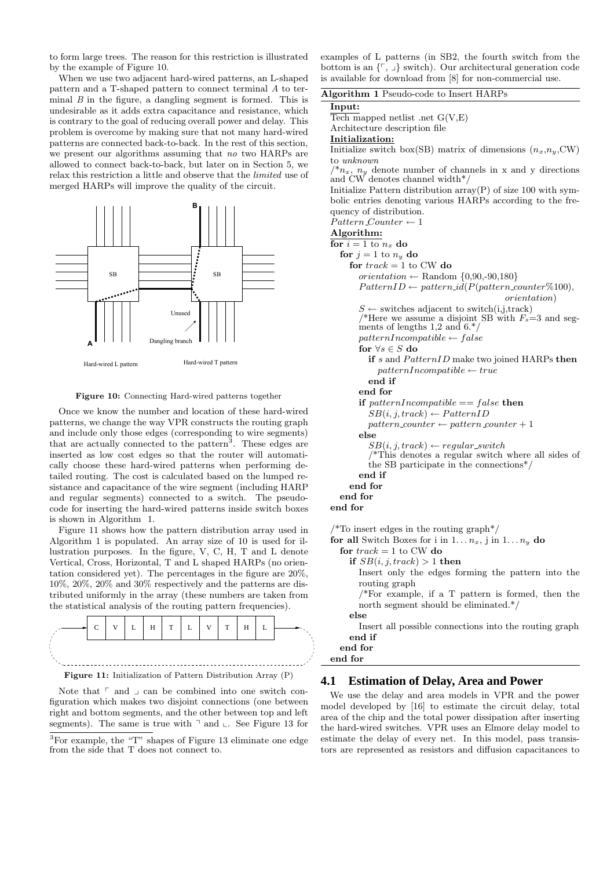to form large trees. The reason for this restriction is illustrated by the example of Figure 10.

When we use two adjacent hard-wired patterns, an L-shaped pattern and a T-shaped pattern to connect terminal A to terminal  $B$  in the figure, a dangling segment is formed. This is undesirable as it adds extra capacitance and resistance, which is contrary to the goal of reducing overall power and delay. This problem is overcome by making sure that not many hard-wired patterns are connected back-to-back. In the rest of this section, we present our algorithms assuming that no two HARPs are allowed to connect back-to-back, but later on in Section 5, we relax this restriction a little and observe that the limited use of merged HARPs will improve the quality of the circuit.



Figure 10: Connecting Hard-wired patterns together

Once we know the number and location of these hard-wired patterns, we change the way VPR constructs the routing graph and include only those edges (corresponding to wire segments) that are actually connected to the pattern<sup>3</sup>. These edges are inserted as low cost edges so that the router will automatically choose these hard-wired patterns when performing detailed routing. The cost is calculated based on the lumped resistance and capacitance of the wire segment (including HARP and regular segments) connected to a switch. The pseudocode for inserting the hard-wired patterns inside switch boxes is shown in Algorithm 1.

Figure 11 shows how the pattern distribution array used in Algorithm 1 is populated. An array size of 10 is used for illustration purposes. In the figure, V, C, H, T and L denote Vertical, Cross, Horizontal, T and L shaped HARPs (no orientation considered yet). The percentages in the figure are 20%, 10%, 20%, 20% and 30% respectively and the patterns are distributed uniformly in the array (these numbers are taken from the statistical analysis of the routing pattern frequencies).



Note that  $\ulcorner$  and  $\lrcorner$  can be combined into one switch configuration which makes two disjoint connections (one between right and bottom segments, and the other between top and left segments). The same is true with  $\bar{\ }$  and  $\bar{\ }$ . See Figure 13 for

examples of L patterns (in SB2, the fourth switch from the bottom is an  $\{\ulcorner, \lrcorner\}$  switch). Our architectural generation code

| is available for download from [8] for non-commercial use.                                                    |
|---------------------------------------------------------------------------------------------------------------|
| Algorithm 1 Pseudo-code to Insert HARPs                                                                       |
| Input:                                                                                                        |
| Tech mapped netlist .net $G(V,E)$                                                                             |
| Architecture description file                                                                                 |
| Initialization:                                                                                               |
| Initialize switch box(SB) matrix of dimensions $(n_x, n_y, CW)$                                               |
| to unknown                                                                                                    |
| $\binom{*}{x}$ , $n_y$ denote number of channels in x and y directions<br>and $CW$ denotes channel width*/    |
| Initialize Pattern distribution $array(P)$ of size 100 with sym-                                              |
| bolic entries denoting various HARPs according to the fre-                                                    |
| quency of distribution.                                                                                       |
| $Pattern Counter \leftarrow 1$                                                                                |
| Algorithm:                                                                                                    |
| for $i=1$ to $n_x$ do                                                                                         |
| for $j = 1$ to $n_y$ do                                                                                       |
| for $track = 1$ to CW do                                                                                      |
| orientation $\leftarrow$ Random {0,90,-90,180}                                                                |
| $PatternID \leftarrow pattern_id(P(pathern_counter %100),$                                                    |
| <i>orientation</i> )                                                                                          |
| $S \leftarrow$ switches adjacent to switch(i,j,track)                                                         |
| /*Here we assume a disjoint SB with $F_s = 3$ and seg-                                                        |
| ments of lengths 1,2 and $6.*/$                                                                               |
| $patternIncompatible \leftarrow false$                                                                        |
| for $\forall s \in S$ do                                                                                      |
| <b>if</b> s and <i>PatternID</i> make two joined HARPs then                                                   |
| $patternIncompatible \leftarrow true$                                                                         |
| end if                                                                                                        |
| end for                                                                                                       |
| if patternIncompatible == false then                                                                          |
| $SB(i, j, track) \leftarrow PatternID$                                                                        |
| $pattern \ counter \leftarrow pattern \ counter + 1$                                                          |
| else                                                                                                          |
| $SB(i, j, track) \leftarrow regular\_switch$                                                                  |
| $/*$ This denotes a regular switch where all sides of<br>the SB participate in the connections <sup>*</sup> / |
| end if                                                                                                        |
| end for                                                                                                       |
| end for                                                                                                       |
| end for                                                                                                       |
|                                                                                                               |
| /*To insert edges in the routing graph <sup>*</sup> /                                                         |
| for all Switch Boxes for i in $1 \dots n_x$ , j in $1 \dots n_y$ do                                           |
| for $track = 1$ to CW do                                                                                      |
| if $SB(i, j, track) > 1$ then                                                                                 |
| Insert only the edges forming the pattern into the                                                            |
| routing graph                                                                                                 |
| $/*$ For example, if a T pattern is formed, then the                                                          |
| north segment should be eliminated. $*/$                                                                      |
| else                                                                                                          |
| Insert all possible connections into the routing graph                                                        |
| end if                                                                                                        |
| end for                                                                                                       |
| end for                                                                                                       |
|                                                                                                               |

#### **4.1 Estimation of Delay, Area and Power**

We use the delay and area models in VPR and the power model developed by [16] to estimate the circuit delay, total area of the chip and the total power dissipation after inserting the hard-wired switches. VPR uses an Elmore delay model to estimate the delay of every net. In this model, pass transistors are represented as resistors and diffusion capacitances to

<sup>3</sup>For example, the "T" shapes of Figure 13 eliminate one edge from the side that T does not connect to.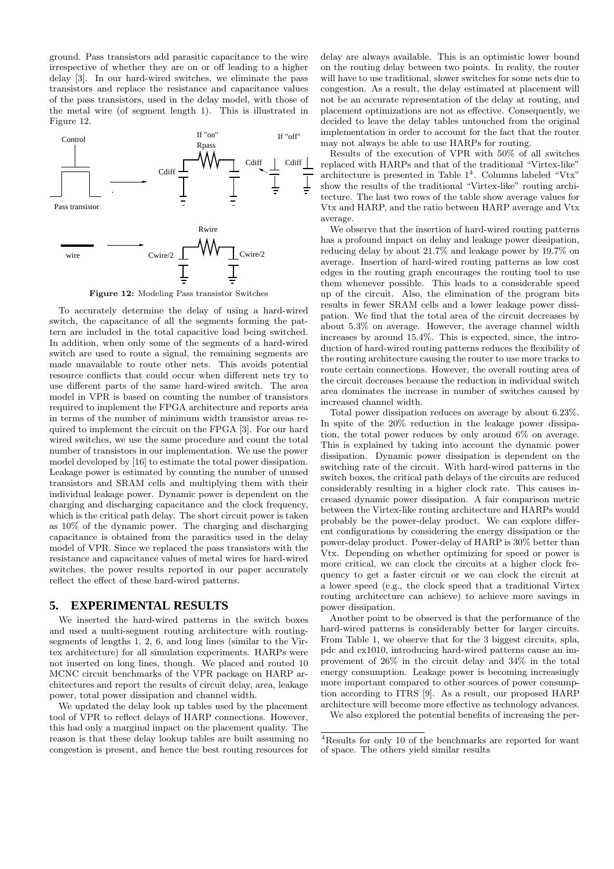ground. Pass transistors add parasitic capacitance to the wire irrespective of whether they are on or off leading to a higher delay [3]. In our hard-wired switches, we eliminate the pass transistors and replace the resistance and capacitance values of the pass transistors, used in the delay model, with those of the metal wire (of segment length 1). This is illustrated in Figure 12.



Figure 12: Modeling Pass transistor Switches

To accurately determine the delay of using a hard-wired switch, the capacitance of all the segments forming the pattern are included in the total capacitive load being switched. In addition, when only some of the segments of a hard-wired switch are used to route a signal, the remaining segments are made unavailable to route other nets. This avoids potential resource conflicts that could occur when different nets try to use different parts of the same hard-wired switch. The area model in VPR is based on counting the number of transistors required to implement the FPGA architecture and reports area in terms of the number of minimum width transistor areas required to implement the circuit on the FPGA [3]. For our hard wired switches, we use the same procedure and count the total number of transistors in our implementation. We use the power model developed by [16] to estimate the total power dissipation. Leakage power is estimated by counting the number of unused transistors and SRAM cells and multiplying them with their individual leakage power. Dynamic power is dependent on the charging and discharging capacitance and the clock frequency, which is the critical path delay. The short circuit power is taken as 10% of the dynamic power. The charging and discharging capacitance is obtained from the parasitics used in the delay model of VPR. Since we replaced the pass transistors with the resistance and capacitance values of metal wires for hard-wired switches, the power results reported in our paper accurately reflect the effect of these hard-wired patterns.

#### **5. EXPERIMENTAL RESULTS**

We inserted the hard-wired patterns in the switch boxes and used a multi-segment routing architecture with routingsegments of lengths 1, 2, 6, and long lines (similar to the Virtex architecture) for all simulation experiments. HARPs were not inserted on long lines, though. We placed and routed 10 MCNC circuit benchmarks of the VPR package on HARP architectures and report the results of circuit delay, area, leakage power, total power dissipation and channel width.

We updated the delay look up tables used by the placement tool of VPR to reflect delays of HARP connections. However, this had only a marginal impact on the placement quality. The reason is that these delay lookup tables are built assuming no congestion is present, and hence the best routing resources for

delay are always available. This is an optimistic lower bound on the routing delay between two points. In reality, the router will have to use traditional, slower switches for some nets due to congestion. As a result, the delay estimated at placement will not be an accurate representation of the delay at routing, and placement optimizations are not as effective. Consequently, we decided to leave the delay tables untouched from the original implementation in order to account for the fact that the router may not always be able to use HARPs for routing.

Results of the execution of VPR with 50% of all switches replaced with HARPs and that of the traditional "Virtex-like" architecture is presented in Table 1 4 . Columns labeled "Vtx" show the results of the traditional "Virtex-like" routing architecture. The last two rows of the table show average values for Vtx and HARP, and the ratio between HARP average and Vtx average.

We observe that the insertion of hard-wired routing patterns has a profound impact on delay and leakage power dissipation, reducing delay by about 21.7% and leakage power by 19.7% on average. Insertion of hard-wired routing patterns as low cost edges in the routing graph encourages the routing tool to use them whenever possible. This leads to a considerable speed up of the circuit. Also, the elimination of the program bits results in fewer SRAM cells and a lower leakage power dissipation. We find that the total area of the circuit decreases by about 5.3% on average. However, the average channel width increases by around 15.4%. This is expected, since, the introduction of hard-wired routing patterns reduces the flexibility of the routing architecture causing the router to use more tracks to route certain connections. However, the overall routing area of the circuit decreases because the reduction in individual switch area dominates the increase in number of switches caused by increased channel width.

Total power dissipation reduces on average by about 6.23%. In spite of the 20% reduction in the leakage power dissipation, the total power reduces by only around 6% on average. This is explained by taking into account the dynamic power dissipation. Dynamic power dissipation is dependent on the switching rate of the circuit. With hard-wired patterns in the switch boxes, the critical path delays of the circuits are reduced considerably resulting in a higher clock rate. This causes increased dynamic power dissipation. A fair comparison metric between the Virtex-like routing architecture and HARPs would probably be the power-delay product. We can explore different configurations by considering the energy dissipation or the power-delay product. Power-delay of HARP is 30% better than Vtx. Depending on whether optimizing for speed or power is more critical, we can clock the circuits at a higher clock frequency to get a faster circuit or we can clock the circuit at a lower speed (e.g., the clock speed that a traditional Virtex routing architecture can achieve) to achieve more savings in power dissipation.

Another point to be observed is that the performance of the hard-wired patterns is considerably better for larger circuits. From Table 1, we observe that for the 3 biggest circuits, spla, pdc and ex1010, introducing hard-wired patterns cause an improvement of 26% in the circuit delay and 34% in the total energy consumption. Leakage power is becoming increasingly more important compared to other sources of power consumption according to ITRS [9]. As a result, our proposed HARP architecture will become more effective as technology advances.

We also explored the potential benefits of increasing the per-

<sup>4</sup>Results for only 10 of the benchmarks are reported for want of space. The others yield similar results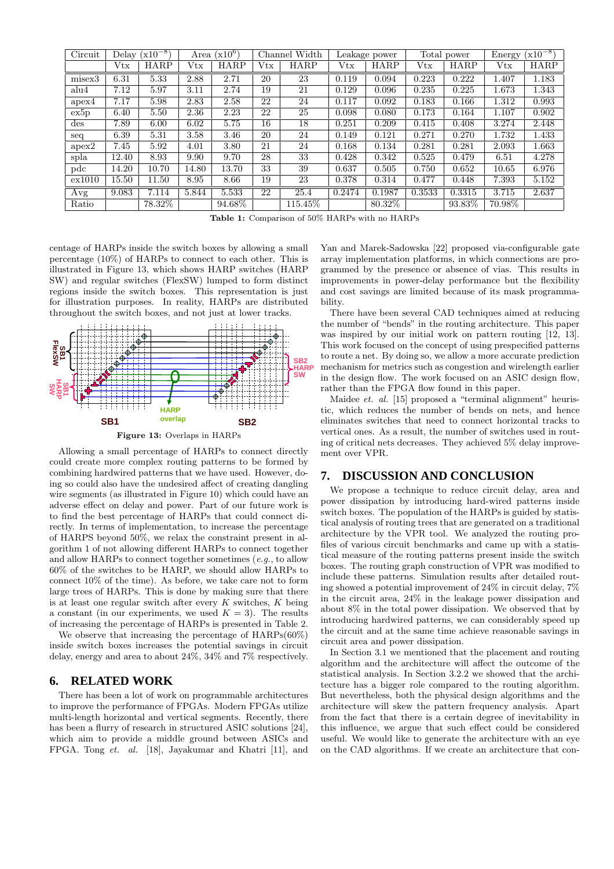| Circuit        | Delay $(x10^{-8})$ |             | $(x10^6)$<br>Area |             | Channel Width |             | Leakage power |             | Total power |             | $(x10^{-8})$<br>Energy |             |
|----------------|--------------------|-------------|-------------------|-------------|---------------|-------------|---------------|-------------|-------------|-------------|------------------------|-------------|
|                | $\rm Vtx$          | <b>HARP</b> | $\rm Vtx$         | <b>HARP</b> | Vtx           | <b>HARP</b> | Vtx           | <b>HARP</b> | Vtx         | <b>HARP</b> | Vtx                    | <b>HARP</b> |
| misex3         | 6.31               | 5.33        | 2.88              | 2.71        | 20            | 23          | 0.119         | 0.094       | 0.223       | 0.222       | 1.407                  | 1.183       |
| alu4           | 7.12               | 5.97        | 3.11              | 2.74        | 19            | 21          | 0.129         | 0.096       | 0.235       | 0.225       | 1.673                  | 1.343       |
| apex4          | 7.17               | 5.98        | 2.83              | 2.58        | 22            | 24          | 0.117         | 0.092       | 0.183       | 0.166       | 1.312                  | 0.993       |
| ex5p           | 6.40               | 5.50        | 2.36              | 2.23        | 22            | 25          | 0.098         | 0.080       | 0.173       | 0.164       | 1.107                  | 0.902       |
| $\mathrm{des}$ | 7.89               | 6.00        | 6.02              | 5.75        | 16            | 18          | 0.251         | 0.209       | 0.415       | 0.408       | 3.274                  | 2.448       |
| seq            | 6.39               | 5.31        | 3.58              | 3.46        | 20            | 24          | 0.149         | 0.121       | 0.271       | 0.270       | 1.732                  | 1.433       |
| apex2          | 7.45               | 5.92        | 4.01              | 3.80        | 21            | 24          | 0.168         | 0.134       | 0.281       | 0.281       | 2.093                  | 1.663       |
| spla           | 12.40              | 8.93        | 9.90              | 9.70        | 28            | 33          | 0.428         | 0.342       | 0.525       | 0.479       | 6.51                   | 4.278       |
| $_{\rm pdc}$   | 14.20              | 10.70       | 14.80             | 13.70       | 33            | 39          | 0.637         | 0.505       | 0.750       | 0.652       | 10.65                  | 6.976       |
| ex1010         | 15.50              | 11.50       | 8.95              | 8.66        | 19            | 23          | 0.378         | 0.314       | 0.477       | 0.448       | 7.393                  | 5.152       |
| Avg            | 9.083              | 7.114       | 5.844             | 5.533       | 22            | 25.4        | 0.2474        | 0.1987      | 0.3533      | 0.3315      | 3.715                  | 2.637       |
| Ratio          |                    | 78.32\%     |                   | 94.68%      |               | 115.45\%    |               | 80.32\%     |             | 93.83%      | 70.98%                 |             |

Table 1: Comparison of 50% HARPs with no HARPs

centage of HARPs inside the switch boxes by allowing a small percentage (10%) of HARPs to connect to each other. This is illustrated in Figure 13, which shows HARP switches (HARP SW) and regular switches (FlexSW) lumped to form distinct regions inside the switch boxes. This representation is just for illustration purposes. In reality, HARPs are distributed throughout the switch boxes, and not just at lower tracks.



Figure 13: Overlaps in HARPs

Allowing a small percentage of HARPs to connect directly could create more complex routing patterns to be formed by combining hardwired patterns that we have used. However, doing so could also have the undesired affect of creating dangling wire segments (as illustrated in Figure 10) which could have an adverse effect on delay and power. Part of our future work is to find the best percentage of HARPs that could connect directly. In terms of implementation, to increase the percentage of HARPS beyond 50%, we relax the constraint present in algorithm 1 of not allowing different HARPs to connect together and allow HARPs to connect together sometimes  $(e.g., to allow)$ 60% of the switches to be HARP, we should allow HARPs to connect 10% of the time). As before, we take care not to form large trees of HARPs. This is done by making sure that there is at least one regular switch after every  $K$  switches,  $K$  being a constant (in our experiments, we used  $K = 3$ ). The results of increasing the percentage of HARPs is presented in Table 2.

We observe that increasing the percentage of HARPs(60%) inside switch boxes increases the potential savings in circuit delay, energy and area to about 24%, 34% and 7% respectively.

## **6. RELATED WORK**

There has been a lot of work on programmable architectures to improve the performance of FPGAs. Modern FPGAs utilize multi-length horizontal and vertical segments. Recently, there has been a flurry of research in structured ASIC solutions [24], which aim to provide a middle ground between ASICs and FPGA. Tong et. al. [18], Jayakumar and Khatri [11], and

Yan and Marek-Sadowska [22] proposed via-configurable gate array implementation platforms, in which connections are programmed by the presence or absence of vias. This results in improvements in power-delay performance but the flexibility and cost savings are limited because of its mask programmability.

There have been several CAD techniques aimed at reducing the number of "bends" in the routing architecture. This paper was inspired by our initial work on pattern routing [12, 13]. This work focused on the concept of using prespecified patterns to route a net. By doing so, we allow a more accurate prediction mechanism for metrics such as congestion and wirelength earlier in the design flow. The work focused on an ASIC design flow, rather than the FPGA flow found in this paper.

Maidee et. al. [15] proposed a "terminal alignment" heuristic, which reduces the number of bends on nets, and hence eliminates switches that need to connect horizontal tracks to vertical ones. As a result, the number of switches used in routing of critical nets decreases. They achieved 5% delay improvement over VPR.

## **7. DISCUSSION AND CONCLUSION**

We propose a technique to reduce circuit delay, area and power dissipation by introducing hard-wired patterns inside switch boxes. The population of the HARPs is guided by statistical analysis of routing trees that are generated on a traditional architecture by the VPR tool. We analyzed the routing profiles of various circuit benchmarks and came up with a statistical measure of the routing patterns present inside the switch boxes. The routing graph construction of VPR was modified to include these patterns. Simulation results after detailed routing showed a potential improvement of 24% in circuit delay, 7% in the circuit area, 24% in the leakage power dissipation and about 8% in the total power dissipation. We observed that by introducing hardwired patterns, we can considerably speed up the circuit and at the same time achieve reasonable savings in circuit area and power dissipation.

In Section 3.1 we mentioned that the placement and routing algorithm and the architecture will affect the outcome of the statistical analysis. In Section 3.2.2 we showed that the architecture has a bigger role compared to the routing algorithm. But nevertheless, both the physical design algorithms and the architecture will skew the pattern frequency analysis. Apart from the fact that there is a certain degree of inevitability in this influence, we argue that such effect could be considered useful. We would like to generate the architecture with an eye on the CAD algorithms. If we create an architecture that con-